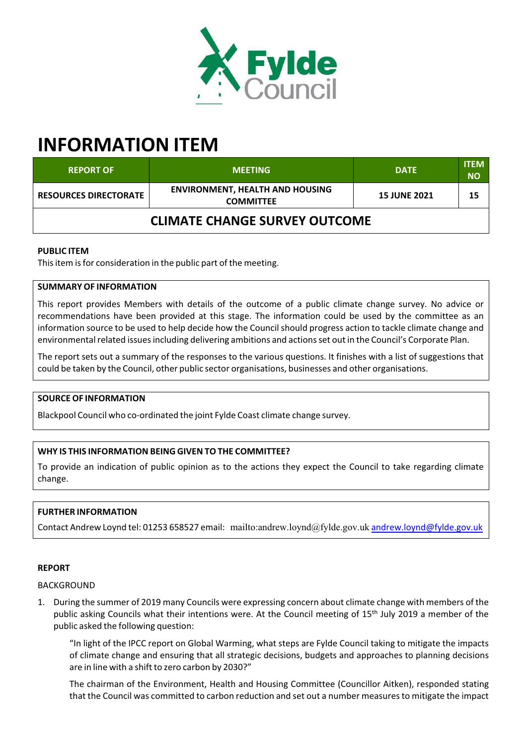

# **INFORMATION ITEM**

| <b>REPORT OF</b>                     | <b>MEETING</b>                                             | <b>DATE</b>         | <b>ITEM</b><br><b>NO</b> |
|--------------------------------------|------------------------------------------------------------|---------------------|--------------------------|
| <b>RESOURCES DIRECTORATE</b>         | <b>ENVIRONMENT, HEALTH AND HOUSING</b><br><b>COMMITTEE</b> | <b>15 JUNE 2021</b> | 15                       |
| <b>CLIMATE CHANGE SURVEY OUTCOME</b> |                                                            |                     |                          |

# **PUBLIC ITEM**

This item is for consideration in the public part of the meeting.

# **SUMMARY OF INFORMATION**

This report provides Members with details of the outcome of a public climate change survey. No advice or recommendations have been provided at this stage. The information could be used by the committee as an information source to be used to help decide how the Council should progress action to tackle climate change and environmental related issues including delivering ambitions and actions set out in the Council's Corporate Plan.

The report sets out a summary of the responses to the various questions. It finishes with a list of suggestions that could be taken by the Council, other public sector organisations, businesses and other organisations.

## **SOURCE OF INFORMATION**

Blackpool Council who co‐ordinated the joint Fylde Coast climate change survey.

# **WHY IS THIS INFORMATION BEING GIVEN TO THE COMMITTEE?**

To provide an indication of public opinion as to the actions they expect the Council to take regarding climate change.

# **FURTHER INFORMATION**

Contact Andrew Loynd tel: 01253 658527 email: mailto:andrew.loynd@fylde.gov.uk andrew.loynd@fylde.gov.uk

## **REPORT**

## BACKGROUND

1. During the summer of 2019 many Councils were expressing concern about climate change with members of the public asking Councils what their intentions were. At the Council meeting of 15<sup>th</sup> July 2019 a member of the public asked the following question:

"In light of the IPCC report on Global Warming, what steps are Fylde Council taking to mitigate the impacts of climate change and ensuring that all strategic decisions, budgets and approaches to planning decisions are in line with a shift to zero carbon by 2030?"

The chairman of the Environment, Health and Housing Committee (Councillor Aitken), responded stating that the Council was committed to carbon reduction and set out a number measures to mitigate the impact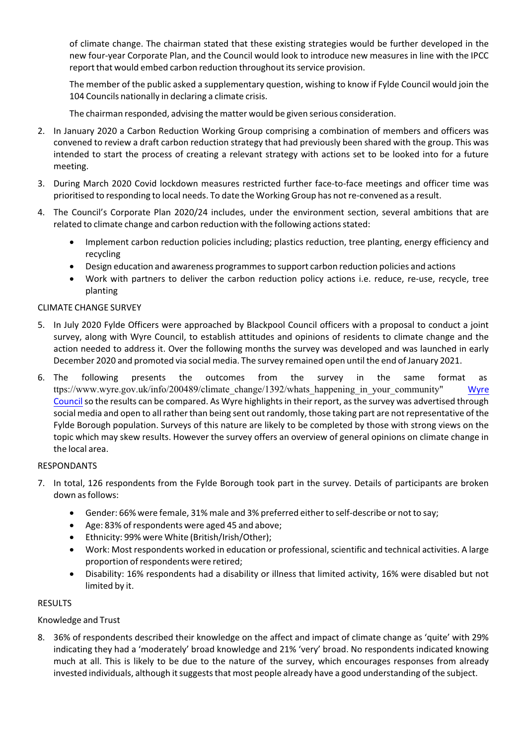of climate change. The chairman stated that these existing strategies would be further developed in the new four‐year Corporate Plan, and the Council would look to introduce new measures in line with the IPCC report that would embed carbon reduction throughout its service provision.

The member of the public asked a supplementary question, wishing to know if Fylde Council would join the 104 Councils nationally in declaring a climate crisis.

The chairman responded, advising the matter would be given serious consideration.

- 2. In January 2020 a Carbon Reduction Working Group comprising a combination of members and officers was convened to review a draft carbon reduction strategy that had previously been shared with the group. This was intended to start the process of creating a relevant strategy with actions set to be looked into for a future meeting.
- 3. During March 2020 Covid lockdown measures restricted further face-to-face meetings and officer time was prioritised to responding to local needs. To date the Working Group has notre‐convened as a result.
- 4. The Council's Corporate Plan 2020/24 includes, under the environment section, several ambitions that are related to climate change and carbon reduction with the following actions stated:
	- Implement carbon reduction policies including; plastics reduction, tree planting, energy efficiency and recycling
	- Design education and awareness programmesto support carbon reduction policies and actions
	- Work with partners to deliver the carbon reduction policy actions i.e. reduce, re-use, recycle, tree planting

# CLIMATE CHANGE SURVEY

- 5. In July 2020 Fylde Officers were approached by Blackpool Council officers with a proposal to conduct a joint survey, along with Wyre Council, to establish attitudes and opinions of residents to climate change and the action needed to address it. Over the following months the survey was developed and was launched in early December 2020 and promoted via social media. The survey remained open until the end of January 2021.
- 6. The following presents the outcomes from the survey in the same format as ttps://www.wyre.gov.uk/info/200489/climate\_change/1392/whats\_happening\_in\_your\_community" Wyre Council so the results can be compared. As Wyre highlights in their report, as the survey was advertised through social media and open to all rather than being sent out randomly, those taking part are not representative of the Fylde Borough population. Surveys of this nature are likely to be completed by those with strong views on the topic which may skew results. However the survey offers an overview of general opinions on climate change in the local area.

## RESPONDANTS

- 7. In total, 126 respondents from the Fylde Borough took part in the survey. Details of participants are broken down as follows:
	- Gender: 66% were female, 31% male and 3% preferred either to self-describe or not to say;
	- Age: 83% of respondents were aged 45 and above;
	- Ethnicity: 99% were White (British/Irish/Other);
	- Work: Most respondents worked in education or professional, scientific and technical activities. A large proportion of respondents were retired;
	- Disability: 16% respondents had a disability or illness that limited activity, 16% were disabled but not limited by it.

## **RESULTS**

Knowledge and Trust

8. 36% of respondents described their knowledge on the affect and impact of climate change as 'quite' with 29% indicating they had a 'moderately' broad knowledge and 21% 'very' broad. No respondents indicated knowing much at all. This is likely to be due to the nature of the survey, which encourages responses from already invested individuals, although it suggests that most people already have a good understanding of the subject.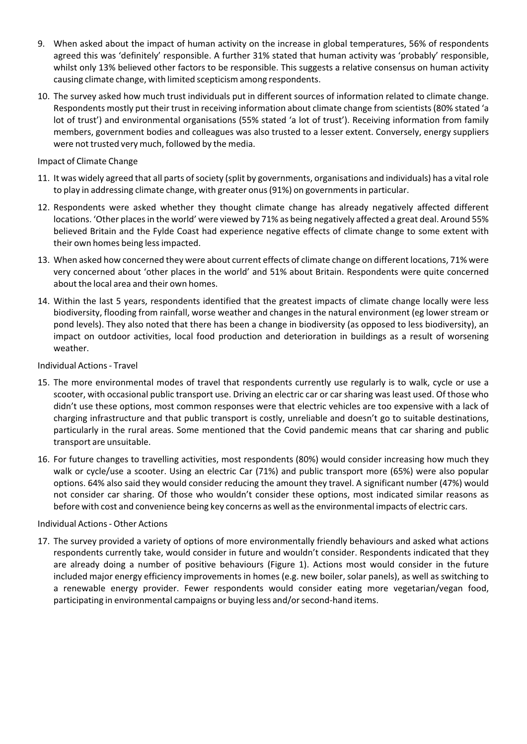- 9. When asked about the impact of human activity on the increase in global temperatures, 56% of respondents agreed this was 'definitely' responsible. A further 31% stated that human activity was 'probably' responsible, whilst only 13% believed other factors to be responsible. This suggests a relative consensus on human activity causing climate change, with limited scepticism among respondents.
- 10. The survey asked how much trust individuals put in different sources of information related to climate change. Respondents mostly put their trust in receiving information about climate change from scientists(80% stated 'a lot of trust') and environmental organisations (55% stated 'a lot of trust'). Receiving information from family members, government bodies and colleagues was also trusted to a lesser extent. Conversely, energy suppliers were not trusted very much, followed by the media.

## Impact of Climate Change

- 11. It was widely agreed that all parts ofsociety (split by governments, organisations and individuals) has a vital role to play in addressing climate change, with greater onus (91%) on governments in particular.
- 12. Respondents were asked whether they thought climate change has already negatively affected different locations. 'Other places in the world' were viewed by 71% as being negatively affected a great deal. Around 55% believed Britain and the Fylde Coast had experience negative effects of climate change to some extent with their own homes being lessimpacted.
- 13. When asked how concerned they were about current effects of climate change on different locations, 71% were very concerned about 'other places in the world' and 51% about Britain. Respondents were quite concerned about the local area and their own homes.
- 14. Within the last 5 years, respondents identified that the greatest impacts of climate change locally were less biodiversity, flooding from rainfall, worse weather and changes in the natural environment (eg lower stream or pond levels). They also noted that there has been a change in biodiversity (as opposed to less biodiversity), an impact on outdoor activities, local food production and deterioration in buildings as a result of worsening weather.

# Individual Actions‐ Travel

- 15. The more environmental modes of travel that respondents currently use regularly is to walk, cycle or use a scooter, with occasional public transport use. Driving an electric car or carsharing was least used. Of those who didn't use these options, most common responses were that electric vehicles are too expensive with a lack of charging infrastructure and that public transport is costly, unreliable and doesn't go to suitable destinations, particularly in the rural areas. Some mentioned that the Covid pandemic means that car sharing and public transport are unsuitable.
- 16. For future changes to travelling activities, most respondents (80%) would consider increasing how much they walk or cycle/use a scooter. Using an electric Car (71%) and public transport more (65%) were also popular options. 64% also said they would consider reducing the amount they travel. A significant number (47%) would not consider car sharing. Of those who wouldn't consider these options, most indicated similar reasons as before with cost and convenience being key concerns as well asthe environmental impacts of electric cars.

## Individual Actions‐ Other Actions

17. The survey provided a variety of options of more environmentally friendly behaviours and asked what actions respondents currently take, would consider in future and wouldn't consider. Respondents indicated that they are already doing a number of positive behaviours (Figure 1). Actions most would consider in the future included major energy efficiency improvements in homes (e.g. new boiler, solar panels), as well as switching to a renewable energy provider. Fewer respondents would consider eating more vegetarian/vegan food, participating in environmental campaigns or buying less and/or second-hand items.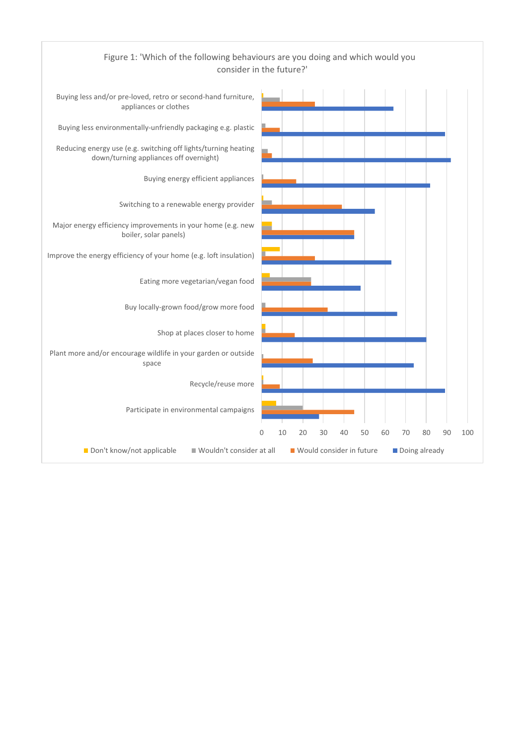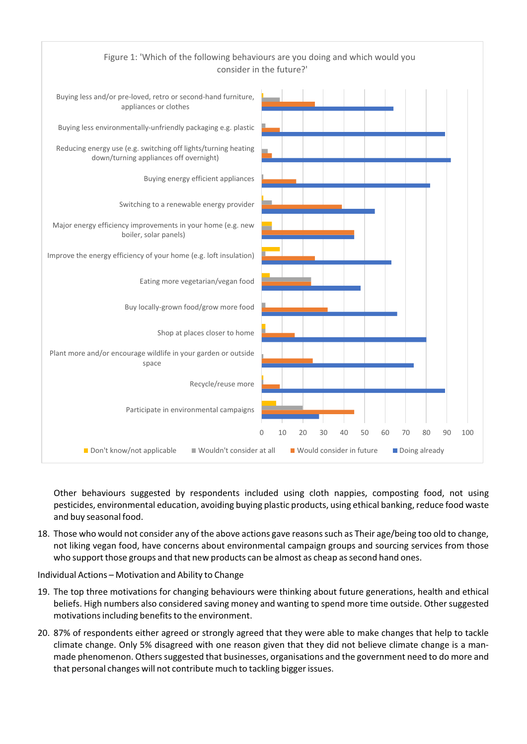

Other behaviours suggested by respondents included using cloth nappies, composting food, not using pesticides, environmental education, avoiding buying plastic products, using ethical banking, reduce food waste and buy seasonal food.

18. Those who would not consider any of the above actions gave reasonssuch as Their age/being too old to change, not liking vegan food, have concerns about environmental campaign groups and sourcing services from those who support those groups and that new products can be almost as cheap assecond hand ones.

Individual Actions – Motivation and Ability to Change

- 19. The top three motivations for changing behaviours were thinking about future generations, health and ethical beliefs. High numbers also considered saving money and wanting to spend more time outside. Other suggested motivations including benefits to the environment.
- 20. 87% of respondents either agreed or strongly agreed that they were able to make changes that help to tackle climate change. Only 5% disagreed with one reason given that they did not believe climate change is a man‐ made phenomenon. Others suggested that businesses, organisations and the government need to do more and that personal changes will not contribute much to tackling biggerissues.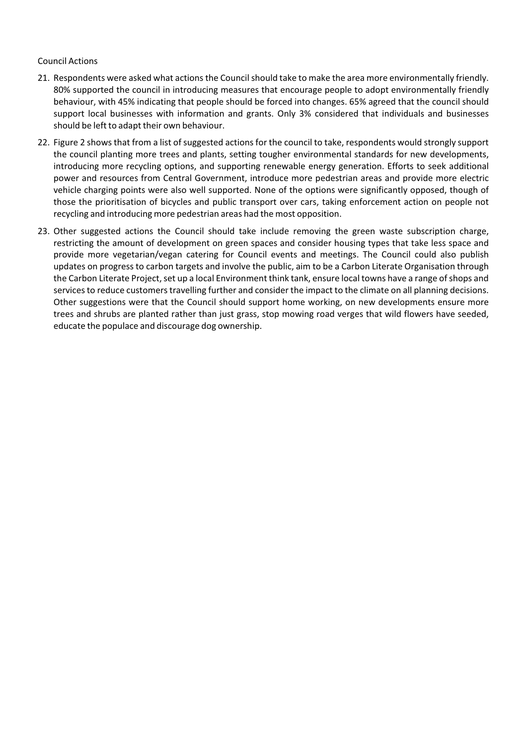## Council Actions

- 21. Respondents were asked what actions the Council should take to make the area more environmentally friendly. 80% supported the council in introducing measures that encourage people to adopt environmentally friendly behaviour, with 45% indicating that people should be forced into changes. 65% agreed that the council should support local businesses with information and grants. Only 3% considered that individuals and businesses should be left to adapt their own behaviour.
- 22. Figure 2 shows that from a list of suggested actions for the council to take, respondents would strongly support the council planting more trees and plants, setting tougher environmental standards for new developments, introducing more recycling options, and supporting renewable energy generation. Efforts to seek additional power and resources from Central Government, introduce more pedestrian areas and provide more electric vehicle charging points were also well supported. None of the options were significantly opposed, though of those the prioritisation of bicycles and public transport over cars, taking enforcement action on people not recycling and introducing more pedestrian areas had the most opposition.
- 23. Other suggested actions the Council should take include removing the green waste subscription charge, restricting the amount of development on green spaces and consider housing types that take less space and provide more vegetarian/vegan catering for Council events and meetings. The Council could also publish updates on progress to carbon targets and involve the public, aim to be a Carbon Literate Organisation through the Carbon Literate Project, set up a local Environment think tank, ensure local towns have a range of shops and services to reduce customers travelling further and consider the impact to the climate on all planning decisions. Other suggestions were that the Council should support home working, on new developments ensure more trees and shrubs are planted rather than just grass, stop mowing road verges that wild flowers have seeded, educate the populace and discourage dog ownership.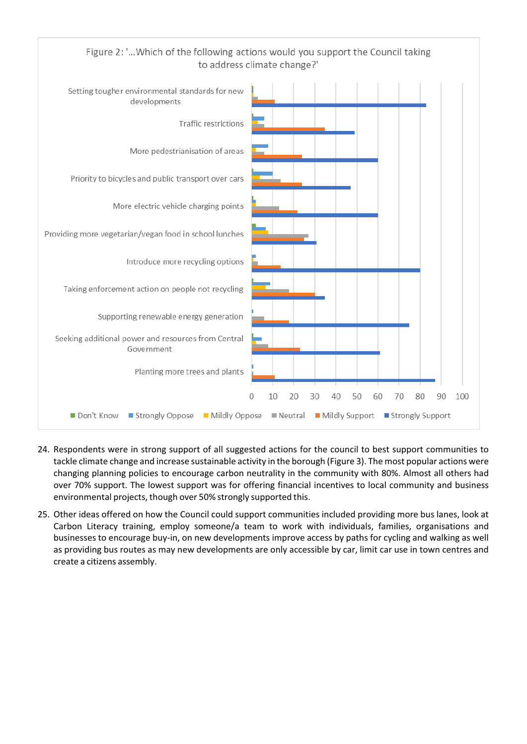

- 24. Respondents were in strong support of all suggested actions for the council to best support communities to tackle climate change and increase sustainable activity in the borough (Figure 3). The most popular actions were changing planning policies to encourage carbon neutrality in the community with 80%. Almost all others had over 70% support. The lowest support was for offering financial incentives to local community and business environmental projects, though over 50% strongly supported this.
- 25. Other ideas offered on how the Council could support communities included providing more bus lanes, look at Carbon Literacy training, employ someone/a team to work with individuals, families, organisations and businesses to encourage buy‐in, on new developments improve access by paths for cycling and walking as well as providing bus routes as may new developments are only accessible by car, limit car use in town centres and create a citizens assembly.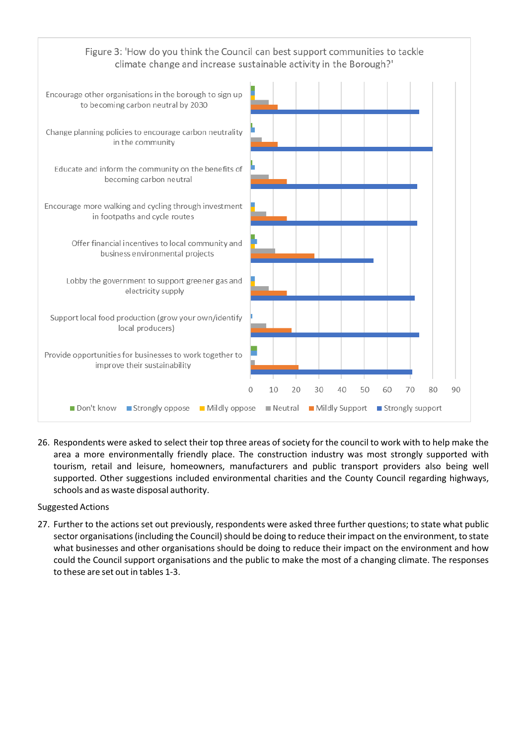

26. Respondents were asked to select their top three areas of society for the council to work with to help make the area a more environmentally friendly place. The construction industry was most strongly supported with tourism, retail and leisure, homeowners, manufacturers and public transport providers also being well supported. Other suggestions included environmental charities and the County Council regarding highways, schools and as waste disposal authority.

# Suggested Actions

27. Further to the actions set out previously, respondents were asked three further questions; to state what public sector organisations (including the Council) should be doing to reduce their impact on the environment, to state what businesses and other organisations should be doing to reduce their impact on the environment and how could the Council support organisations and the public to make the most of a changing climate. The responses to these are set out in tables 1‐3.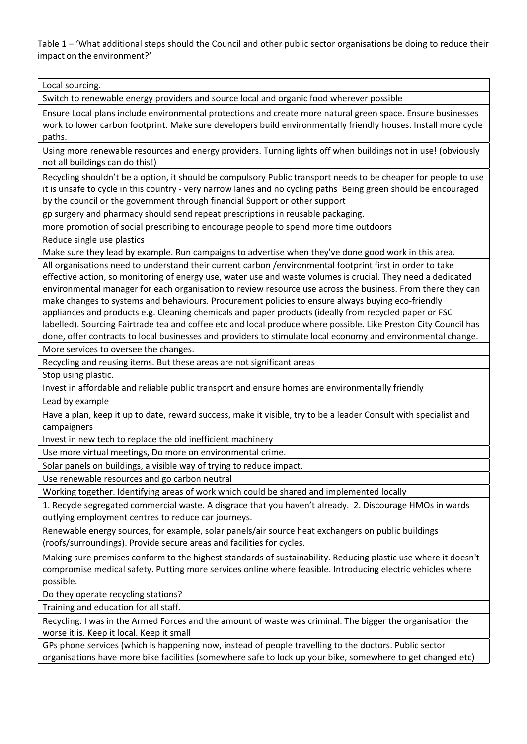Table 1 – 'What additional steps should the Council and other public sector organisations be doing to reduce their impact on the environment?'

Local sourcing.

Switch to renewable energy providers and source local and organic food wherever possible

Ensure Local plans include environmental protections and create more natural green space. Ensure businesses work to lower carbon footprint. Make sure developers build environmentally friendly houses. Install more cycle paths.

Using more renewable resources and energy providers. Turning lights off when buildings not in use! (obviously not all buildings can do this!)

Recycling shouldn't be a option, it should be compulsory Public transport needs to be cheaper for people to use it is unsafe to cycle in this country ‐ very narrow lanes and no cycling paths Being green should be encouraged by the council or the government through financial Support or other support

gp surgery and pharmacy should send repeat prescriptions in reusable packaging.

more promotion of social prescribing to encourage people to spend more time outdoors

Reduce single use plastics

Make sure they lead by example. Run campaigns to advertise when they've done good work in this area.

All organisations need to understand their current carbon /environmental footprint first in order to take effective action, so monitoring of energy use, water use and waste volumes is crucial. They need a dedicated environmental manager for each organisation to review resource use across the business. From there they can make changes to systems and behaviours. Procurement policies to ensure always buying eco-friendly appliances and products e.g. Cleaning chemicals and paper products (ideally from recycled paper or FSC labelled). Sourcing Fairtrade tea and coffee etc and local produce where possible. Like Preston City Council has done, offer contracts to local businesses and providers to stimulate local economy and environmental change.

More services to oversee the changes.

Recycling and reusing items. But these areas are not significant areas

Stop using plastic.

Invest in affordable and reliable public transport and ensure homes are environmentally friendly

Lead by example

Have a plan, keep it up to date, reward success, make it visible, try to be a leader Consult with specialist and campaigners

Invest in new tech to replace the old inefficient machinery

Use more virtual meetings, Do more on environmental crime.

Solar panels on buildings, a visible way of trying to reduce impact.

Use renewable resources and go carbon neutral

Working together. Identifying areas of work which could be shared and implemented locally

1. Recycle segregated commercial waste. A disgrace that you haven't already. 2. Discourage HMOs in wards outlying employment centres to reduce car journeys.

Renewable energy sources, for example, solar panels/air source heat exchangers on public buildings (roofs/surroundings). Provide secure areas and facilities for cycles.

Making sure premises conform to the highest standards of sustainability. Reducing plastic use where it doesn't compromise medical safety. Putting more services online where feasible. Introducing electric vehicles where possible.

Do they operate recycling stations?

Training and education for all staff.

Recycling. I was in the Armed Forces and the amount of waste was criminal. The bigger the organisation the worse it is. Keep it local. Keep it small

GPs phone services (which is happening now, instead of people travelling to the doctors. Public sector organisations have more bike facilities (somewhere safe to lock up your bike, somewhere to get changed etc)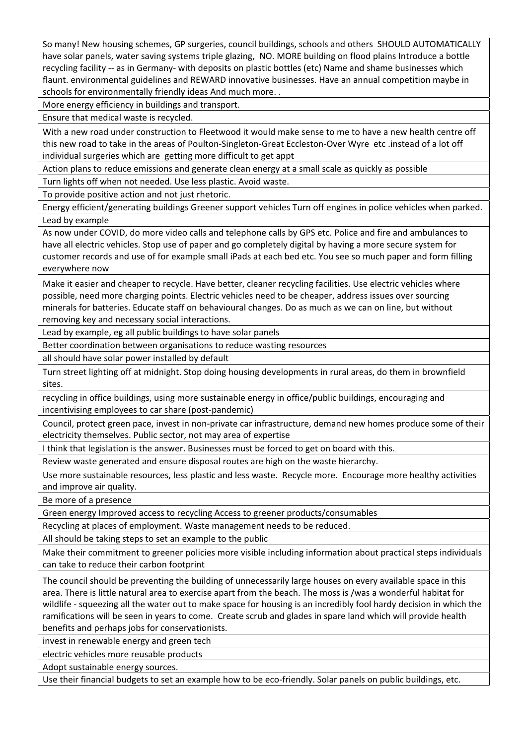So many! New housing schemes, GP surgeries, council buildings, schools and others SHOULD AUTOMATICALLY have solar panels, water saving systems triple glazing, NO. MORE building on flood plains Introduce a bottle recycling facility -- as in Germany- with deposits on plastic bottles (etc) Name and shame businesses which flaunt. environmental guidelines and REWARD innovative businesses. Have an annual competition maybe in schools for environmentally friendly ideas And much more. .

More energy efficiency in buildings and transport.

Ensure that medical waste is recycled.

With a new road under construction to Fleetwood it would make sense to me to have a new health centre off this new road to take in the areas of Poulton‐Singleton‐Great Eccleston‐Over Wyre etc .instead of a lot off individual surgeries which are getting more difficult to get appt

Action plans to reduce emissions and generate clean energy at a small scale as quickly as possible

Turn lights off when not needed. Use less plastic. Avoid waste.

To provide positive action and not just rhetoric.

Energy efficient/generating buildings Greener support vehicles Turn off engines in police vehicles when parked. Lead by example

As now under COVID, do more video calls and telephone calls by GPS etc. Police and fire and ambulances to have all electric vehicles. Stop use of paper and go completely digital by having a more secure system for customer records and use of for example small iPads at each bed etc. You see so much paper and form filling everywhere now

Make it easier and cheaper to recycle. Have better, cleaner recycling facilities. Use electric vehicles where possible, need more charging points. Electric vehicles need to be cheaper, address issues over sourcing minerals for batteries. Educate staff on behavioural changes. Do as much as we can on line, but without removing key and necessary social interactions.

Lead by example, eg all public buildings to have solar panels

Better coordination between organisations to reduce wasting resources

all should have solar power installed by default

Turn street lighting off at midnight. Stop doing housing developments in rural areas, do them in brownfield sites.

recycling in office buildings, using more sustainable energy in office/public buildings, encouraging and incentivising employees to car share (post-pandemic)

Council, protect green pace, invest in non‐private car infrastructure, demand new homes produce some of their electricity themselves. Public sector, not may area of expertise

I think that legislation is the answer. Businesses must be forced to get on board with this.

Review waste generated and ensure disposal routes are high on the waste hierarchy.

Use more sustainable resources, less plastic and less waste. Recycle more. Encourage more healthy activities and improve air quality.

Be more of a presence

Green energy Improved access to recycling Access to greener products/consumables

Recycling at places of employment. Waste management needs to be reduced.

All should be taking steps to set an example to the public

Make their commitment to greener policies more visible including information about practical steps individuals can take to reduce their carbon footprint

The council should be preventing the building of unnecessarily large houses on every available space in this area. There is little natural area to exercise apart from the beach. The moss is /was a wonderful habitat for wildlife - squeezing all the water out to make space for housing is an incredibly fool hardy decision in which the ramifications will be seen in years to come. Create scrub and glades in spare land which will provide health benefits and perhaps jobs for conservationists.

invest in renewable energy and green tech

electric vehicles more reusable products

Adopt sustainable energy sources.

Use their financial budgets to set an example how to be eco-friendly. Solar panels on public buildings, etc.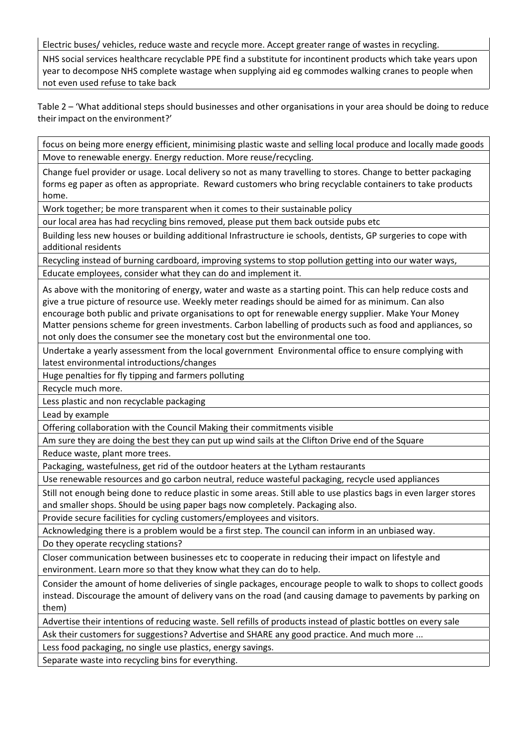Electric buses/ vehicles, reduce waste and recycle more. Accept greater range of wastes in recycling.

NHS social services healthcare recyclable PPE find a substitute for incontinent products which take years upon year to decompose NHS complete wastage when supplying aid eg commodes walking cranes to people when not even used refuse to take back

Table 2 – 'What additional steps should businesses and other organisations in your area should be doing to reduce theirimpact on the environment?'

focus on being more energy efficient, minimising plastic waste and selling local produce and locally made goods Move to renewable energy. Energy reduction. More reuse/recycling.

Change fuel provider or usage. Local delivery so not as many travelling to stores. Change to better packaging forms eg paper as often as appropriate. Reward customers who bring recyclable containers to take products home.

Work together; be more transparent when it comes to their sustainable policy

our local area has had recycling bins removed, please put them back outside pubs etc

Building less new houses or building additional Infrastructure ie schools, dentists, GP surgeries to cope with additional residents

Recycling instead of burning cardboard, improving systems to stop pollution getting into our water ways, Educate employees, consider what they can do and implement it.

As above with the monitoring of energy, water and waste as a starting point. This can help reduce costs and give a true picture of resource use. Weekly meter readings should be aimed for as minimum. Can also encourage both public and private organisations to opt for renewable energy supplier. Make Your Money Matter pensions scheme for green investments. Carbon labelling of products such as food and appliances, so not only does the consumer see the monetary cost but the environmental one too.

Undertake a yearly assessment from the local government Environmental office to ensure complying with latest environmental introductions/changes

Huge penalties for fly tipping and farmers polluting

Recycle much more.

Less plastic and non recyclable packaging

Lead by example

Offering collaboration with the Council Making their commitments visible

Am sure they are doing the best they can put up wind sails at the Clifton Drive end of the Square

Reduce waste, plant more trees.

Packaging, wastefulness, get rid of the outdoor heaters at the Lytham restaurants

Use renewable resources and go carbon neutral, reduce wasteful packaging, recycle used appliances

Still not enough being done to reduce plastic in some areas. Still able to use plastics bags in even larger stores and smaller shops. Should be using paper bags now completely. Packaging also.

Provide secure facilities for cycling customers/employees and visitors.

Acknowledging there is a problem would be a first step. The council can inform in an unbiased way.

Do they operate recycling stations?

Closer communication between businesses etc to cooperate in reducing their impact on lifestyle and environment. Learn more so that they know what they can do to help.

Consider the amount of home deliveries of single packages, encourage people to walk to shops to collect goods instead. Discourage the amount of delivery vans on the road (and causing damage to pavements by parking on them)

Advertise their intentions of reducing waste. Sell refills of products instead of plastic bottles on every sale

Ask their customers for suggestions? Advertise and SHARE any good practice. And much more ...

Less food packaging, no single use plastics, energy savings.

Separate waste into recycling bins for everything.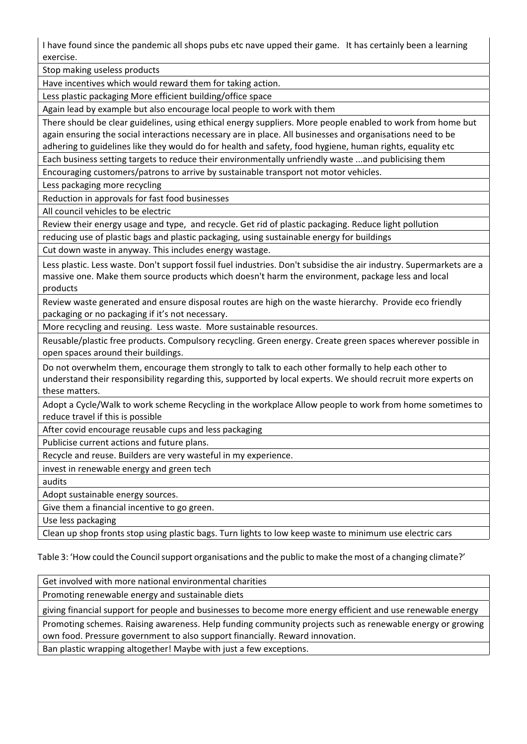I have found since the pandemic all shops pubs etc nave upped their game. It has certainly been a learning exercise.

Stop making useless products

Have incentives which would reward them for taking action.

Less plastic packaging More efficient building/office space

Again lead by example but also encourage local people to work with them

There should be clear guidelines, using ethical energy suppliers. More people enabled to work from home but again ensuring the social interactions necessary are in place. All businesses and organisations need to be adhering to guidelines like they would do for health and safety, food hygiene, human rights, equality etc

Each business setting targets to reduce their environmentally unfriendly waste ...and publicising them

Encouraging customers/patrons to arrive by sustainable transport not motor vehicles.

Less packaging more recycling

Reduction in approvals for fast food businesses

All council vehicles to be electric

Review their energy usage and type, and recycle. Get rid of plastic packaging. Reduce light pollution

reducing use of plastic bags and plastic packaging, using sustainable energy for buildings

Cut down waste in anyway. This includes energy wastage.

Less plastic. Less waste. Don't support fossil fuel industries. Don't subsidise the air industry. Supermarkets are a massive one. Make them source products which doesn't harm the environment, package less and local products

Review waste generated and ensure disposal routes are high on the waste hierarchy. Provide eco friendly packaging or no packaging if it's not necessary.

More recycling and reusing. Less waste. More sustainable resources.

Reusable/plastic free products. Compulsory recycling. Green energy. Create green spaces wherever possible in open spaces around their buildings.

Do not overwhelm them, encourage them strongly to talk to each other formally to help each other to understand their responsibility regarding this, supported by local experts. We should recruit more experts on these matters.

Adopt a Cycle/Walk to work scheme Recycling in the workplace Allow people to work from home sometimes to reduce travel if this is possible

After covid encourage reusable cups and less packaging

Publicise current actions and future plans.

Recycle and reuse. Builders are very wasteful in my experience.

invest in renewable energy and green tech

audits

Adopt sustainable energy sources.

Give them a financial incentive to go green.

Use less packaging

Clean up shop fronts stop using plastic bags. Turn lights to low keep waste to minimum use electric cars

Table 3: 'How could the Council support organisations and the public to make the most of a changing climate?'

Get involved with more national environmental charities

Promoting renewable energy and sustainable diets

giving financial support for people and businesses to become more energy efficient and use renewable energy

Promoting schemes. Raising awareness. Help funding community projects such as renewable energy or growing own food. Pressure government to also support financially. Reward innovation.

Ban plastic wrapping altogether! Maybe with just a few exceptions.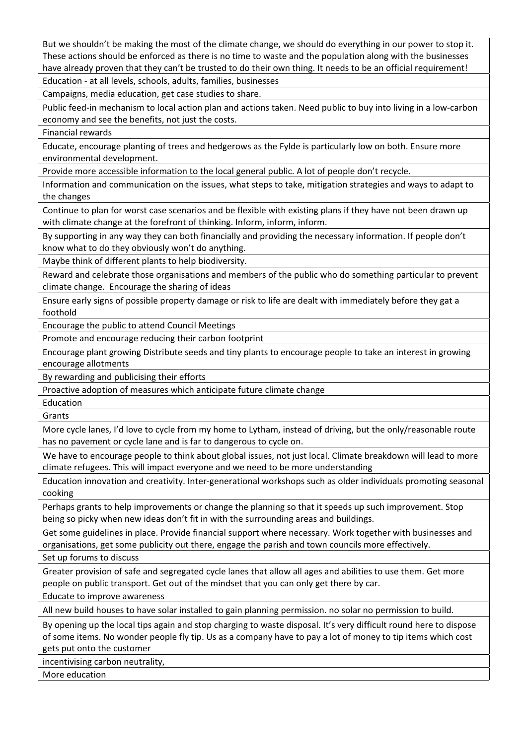But we shouldn't be making the most of the climate change, we should do everything in our power to stop it. These actions should be enforced as there is no time to waste and the population along with the businesses have already proven that they can't be trusted to do their own thing. It needs to be an official requirement!

Education ‐ at all levels, schools, adults, families, businesses

Campaigns, media education, get case studies to share.

Public feed-in mechanism to local action plan and actions taken. Need public to buy into living in a low-carbon economy and see the benefits, not just the costs.

Financial rewards

Educate, encourage planting of trees and hedgerows as the Fylde is particularly low on both. Ensure more environmental development.

Provide more accessible information to the local general public. A lot of people don't recycle.

Information and communication on the issues, what steps to take, mitigation strategies and ways to adapt to the changes

Continue to plan for worst case scenarios and be flexible with existing plans if they have not been drawn up with climate change at the forefront of thinking. Inform, inform, inform.

By supporting in any way they can both financially and providing the necessary information. If people don't know what to do they obviously won't do anything.

Maybe think of different plants to help biodiversity.

Reward and celebrate those organisations and members of the public who do something particular to prevent climate change. Encourage the sharing of ideas

Ensure early signs of possible property damage or risk to life are dealt with immediately before they gat a foothold

Encourage the public to attend Council Meetings

Promote and encourage reducing their carbon footprint

Encourage plant growing Distribute seeds and tiny plants to encourage people to take an interest in growing encourage allotments

By rewarding and publicising their efforts

Proactive adoption of measures which anticipate future climate change

Education Grants

More cycle lanes, I'd love to cycle from my home to Lytham, instead of driving, but the only/reasonable route has no pavement or cycle lane and is far to dangerous to cycle on.

We have to encourage people to think about global issues, not just local. Climate breakdown will lead to more climate refugees. This will impact everyone and we need to be more understanding

Education innovation and creativity. Inter‐generational workshops such as older individuals promoting seasonal cooking

Perhaps grants to help improvements or change the planning so that it speeds up such improvement. Stop being so picky when new ideas don't fit in with the surrounding areas and buildings.

Get some guidelines in place. Provide financial support where necessary. Work together with businesses and organisations, get some publicity out there, engage the parish and town councils more effectively.

Set up forums to discuss

Greater provision of safe and segregated cycle lanes that allow all ages and abilities to use them. Get more people on public transport. Get out of the mindset that you can only get there by car.

Educate to improve awareness

All new build houses to have solar installed to gain planning permission. no solar no permission to build.

By opening up the local tips again and stop charging to waste disposal. It's very difficult round here to dispose of some items. No wonder people fly tip. Us as a company have to pay a lot of money to tip items which cost gets put onto the customer

incentivising carbon neutrality,

More education